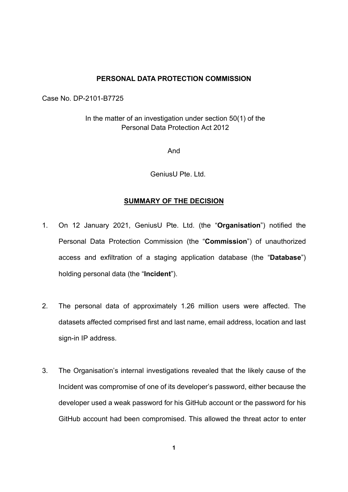## PERSONAL DATA PROTECTION COMMISSION

Case No. DP-2101-B7725

In the matter of an investigation under section 50(1) of the Personal Data Protection Act 2012

And

GeniusU Pte. Ltd.

## SUMMARY OF THE DECISION

- 1. On 12 January 2021, GeniusU Pte. Ltd. (the "Organisation") notified the Personal Data Protection Commission (the "Commission") of unauthorized access and exfiltration of a staging application database (the "Database") holding personal data (the "Incident").
- 2. The personal data of approximately 1.26 million users were affected. The datasets affected comprised first and last name, email address, location and last sign-in IP address.
- 3. The Organisation's internal investigations revealed that the likely cause of the Incident was compromise of one of its developer's password, either because the developer used a weak password for his GitHub account or the password for his GitHub account had been compromised. This allowed the threat actor to enter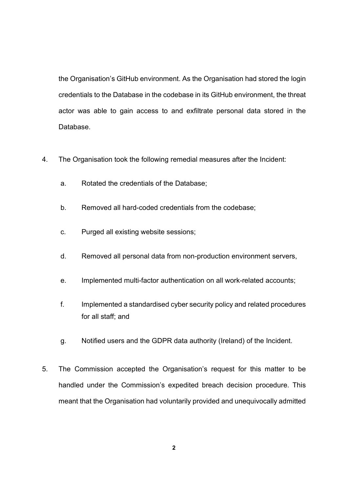the Organisation's GitHub environment. As the Organisation had stored the login credentials to the Database in the codebase in its GitHub environment, the threat actor was able to gain access to and exfiltrate personal data stored in the Database.

- 4. The Organisation took the following remedial measures after the Incident:
	- a. Rotated the credentials of the Database;
	- b. Removed all hard-coded credentials from the codebase;
	- c. Purged all existing website sessions;
	- d. Removed all personal data from non-production environment servers,
	- e. Implemented multi-factor authentication on all work-related accounts;
	- f. Implemented a standardised cyber security policy and related procedures for all staff; and
	- g. Notified users and the GDPR data authority (Ireland) of the Incident.
- 5. The Commission accepted the Organisation's request for this matter to be handled under the Commission's expedited breach decision procedure. This meant that the Organisation had voluntarily provided and unequivocally admitted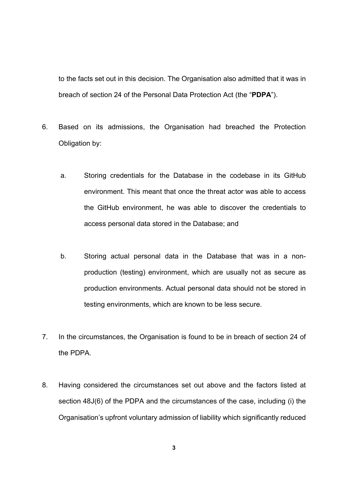to the facts set out in this decision. The Organisation also admitted that it was in breach of section 24 of the Personal Data Protection Act (the "PDPA").

- 6. Based on its admissions, the Organisation had breached the Protection Obligation by:
	- a. Storing credentials for the Database in the codebase in its GitHub environment. This meant that once the threat actor was able to access the GitHub environment, he was able to discover the credentials to access personal data stored in the Database; and
	- b. Storing actual personal data in the Database that was in a nonproduction (testing) environment, which are usually not as secure as production environments. Actual personal data should not be stored in testing environments, which are known to be less secure.
- 7. In the circumstances, the Organisation is found to be in breach of section 24 of the PDPA.
- 8. Having considered the circumstances set out above and the factors listed at section 48J(6) of the PDPA and the circumstances of the case, including (i) the Organisation's upfront voluntary admission of liability which significantly reduced